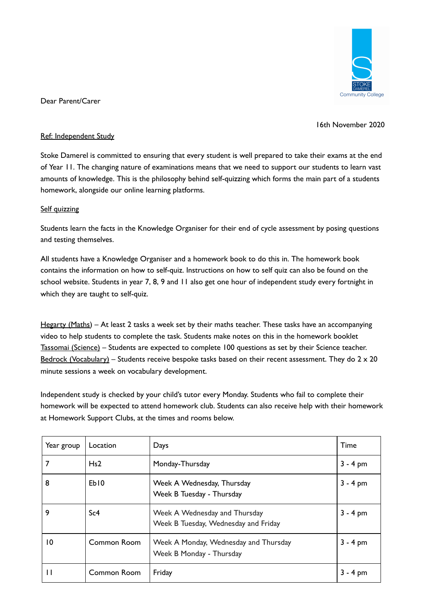

Dear Parent/Carer

16th November 2020

## Ref: Independent Study

Stoke Damerel is committed to ensuring that every student is well prepared to take their exams at the end of Year 11. The changing nature of examinations means that we need to support our students to learn vast amounts of knowledge. This is the philosophy behind self-quizzing which forms the main part of a students homework, alongside our online learning platforms.

## Self quizzing

Students learn the facts in the Knowledge Organiser for their end of cycle assessment by posing questions and testing themselves.

All students have a Knowledge Organiser and a homework book to do this in. The homework book contains the information on how to self-quiz. Instructions on how to self quiz can also be found on the school website. Students in year 7, 8, 9 and 11 also get one hour of independent study every fortnight in which they are taught to self-quiz.

Hegarty (Maths) – At least 2 tasks a week set by their maths teacher. These tasks have an accompanying video to help students to complete the task. Students make notes on this in the homework booklet Tassomai (Science) – Students are expected to complete 100 questions as set by their Science teacher. Bedrock (Vocabulary) – Students receive bespoke tasks based on their recent assessment. They do  $2 \times 20$ minute sessions a week on vocabulary development.

Independent study is checked by your child's tutor every Monday. Students who fail to complete their homework will be expected to attend homework club. Students can also receive help with their homework at Homework Support Clubs, at the times and rooms below.

| Year group | Location         | Days                                                                  | Time       |
|------------|------------------|-----------------------------------------------------------------------|------------|
|            | Hs2              | Monday-Thursday                                                       | $3 - 4$ pm |
| 8          | Eb <sub>10</sub> | Week A Wednesday, Thursday<br>Week B Tuesday - Thursday               | $3 - 4$ pm |
| 9          | Sc4              | Week A Wednesday and Thursday<br>Week B Tuesday, Wednesday and Friday | $3 - 4$ pm |
| 10         | Common Room      | Week A Monday, Wednesday and Thursday<br>Week B Monday - Thursday     | $3 - 4$ pm |
|            | Common Room      | Friday                                                                | $3 - 4$ pm |